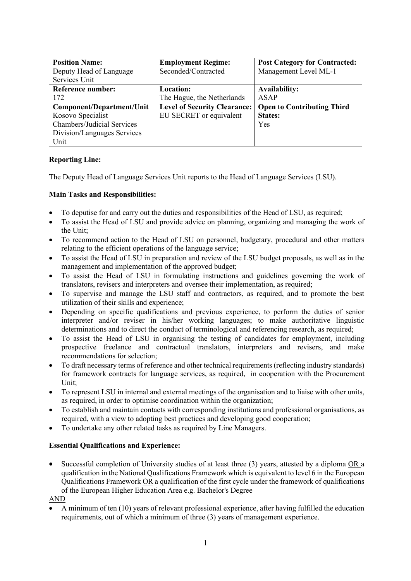| <b>Position Name:</b>             | <b>Employment Regime:</b>           | <b>Post Category for Contracted:</b> |
|-----------------------------------|-------------------------------------|--------------------------------------|
| Deputy Head of Language           | Seconded/Contracted                 | Management Level ML-1                |
| Services Unit                     |                                     |                                      |
| <b>Reference number:</b>          | Location:                           | <b>Availability:</b>                 |
| 172                               | The Hague, the Netherlands          | ASAP                                 |
| Component/Department/Unit         | <b>Level of Security Clearance:</b> | <b>Open to Contributing Third</b>    |
| Kosovo Specialist                 | EU SECRET or equivalent             | <b>States:</b>                       |
| <b>Chambers/Judicial Services</b> |                                     | <b>Yes</b>                           |
| Division/Languages Services       |                                     |                                      |
| Unit                              |                                     |                                      |

# **Reporting Line:**

The Deputy Head of Language Services Unit reports to the Head of Language Services (LSU).

# **Main Tasks and Responsibilities:**

- To deputise for and carry out the duties and responsibilities of the Head of LSU, as required;
- To assist the Head of LSU and provide advice on planning, organizing and managing the work of the Unit;
- To recommend action to the Head of LSU on personnel, budgetary, procedural and other matters relating to the efficient operations of the language service;
- To assist the Head of LSU in preparation and review of the LSU budget proposals, as well as in the management and implementation of the approved budget;
- To assist the Head of LSU in formulating instructions and guidelines governing the work of translators, revisers and interpreters and oversee their implementation, as required;
- To supervise and manage the LSU staff and contractors, as required, and to promote the best utilization of their skills and experience;
- Depending on specific qualifications and previous experience, to perform the duties of senior interpreter and/or reviser in his/her working languages; to make authoritative linguistic determinations and to direct the conduct of terminological and referencing research, as required;
- To assist the Head of LSU in organising the testing of candidates for employment, including prospective freelance and contractual translators, interpreters and revisers, and make recommendations for selection;
- To draft necessary terms of reference and other technical requirements (reflecting industry standards) for framework contracts for language services, as required, in cooperation with the Procurement Unit;
- To represent LSU in internal and external meetings of the organisation and to liaise with other units, as required, in order to optimise coordination within the organization;
- To establish and maintain contacts with corresponding institutions and professional organisations, as required, with a view to adopting best practices and developing good cooperation;
- To undertake any other related tasks as required by Line Managers.

# **Essential Qualifications and Experience:**

• Successful completion of University studies of at least three (3) years, attested by a diploma OR a qualification in the National Qualifications Framework which is equivalent to level 6 in the European Qualifications Framework OR a qualification of the first cycle under the framework of qualifications of the European Higher Education Area e.g. Bachelor's Degree

# AND

• A minimum of ten (10) years of relevant professional experience, after having fulfilled the education requirements, out of which a minimum of three (3) years of management experience.